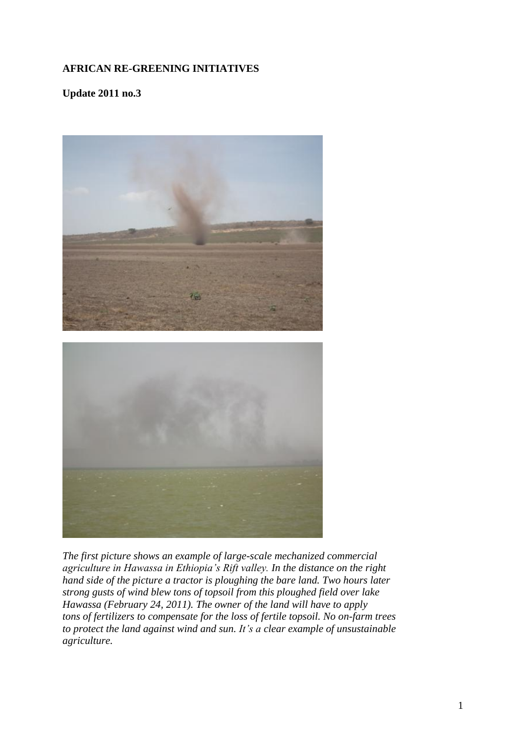## **AFRICAN RE-GREENING INITIATIVES**

**Update 2011 no.3**



*The first picture shows an example of large-scale mechanized commercial agriculture in Hawassa in Ethiopia's Rift valley. In the distance on the right hand side of the picture a tractor is ploughing the bare land. Two hours later strong gusts of wind blew tons of topsoil from this ploughed field over lake Hawassa (February 24, 2011). The owner of the land will have to apply tons of fertilizers to compensate for the loss of fertile topsoil. No on-farm trees to protect the land against wind and sun. It's a clear example of unsustainable agriculture.*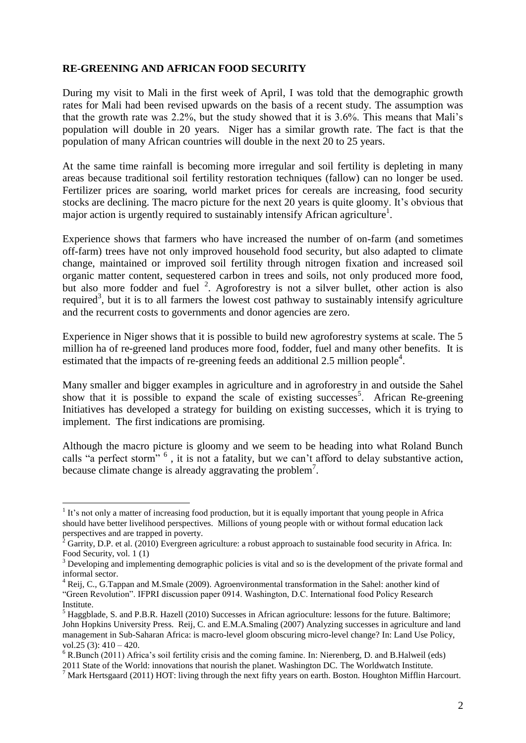### **RE-GREENING AND AFRICAN FOOD SECURITY**

During my visit to Mali in the first week of April, I was told that the demographic growth rates for Mali had been revised upwards on the basis of a recent study. The assumption was that the growth rate was 2.2%, but the study showed that it is 3.6%. This means that Mali's population will double in 20 years. Niger has a similar growth rate. The fact is that the population of many African countries will double in the next 20 to 25 years.

At the same time rainfall is becoming more irregular and soil fertility is depleting in many areas because traditional soil fertility restoration techniques (fallow) can no longer be used. Fertilizer prices are soaring, world market prices for cereals are increasing, food security stocks are declining. The macro picture for the next 20 years is quite gloomy. It's obvious that major action is urgently required to sustainably intensify African agriculture<sup>1</sup>.

Experience shows that farmers who have increased the number of on-farm (and sometimes off-farm) trees have not only improved household food security, but also adapted to climate change, maintained or improved soil fertility through nitrogen fixation and increased soil organic matter content, sequestered carbon in trees and soils, not only produced more food, but also more fodder and fuel <sup>2</sup>. Agroforestry is not a silver bullet, other action is also required<sup>3</sup>, but it is to all farmers the lowest cost pathway to sustainably intensify agriculture and the recurrent costs to governments and donor agencies are zero.

Experience in Niger shows that it is possible to build new agroforestry systems at scale. The 5 million ha of re-greened land produces more food, fodder, fuel and many other benefits. It is estimated that the impacts of re-greening feeds an additional 2.5 million people<sup>4</sup>.

Many smaller and bigger examples in agriculture and in agroforestry in and outside the Sahel show that it is possible to expand the scale of existing successes<sup>5</sup>. African Re-greening Initiatives has developed a strategy for building on existing successes, which it is trying to implement. The first indications are promising.

Although the macro picture is gloomy and we seem to be heading into what Roland Bunch calls "a perfect storm" <sup>6</sup>, it is not a fatality, but we can't afford to delay substantive action, because climate change is already aggravating the problem<sup>7</sup>.

1

 $1$  It's not only a matter of increasing food production, but it is equally important that young people in Africa should have better livelihood perspectives. Millions of young people with or without formal education lack perspectives and are trapped in poverty.

<sup>2</sup> Garrity, D.P. et al. (2010) Evergreen agriculture: a robust approach to sustainable food security in Africa. In: Food Security, vol. 1 (1)

<sup>&</sup>lt;sup>3</sup> Developing and implementing demographic policies is vital and so is the development of the private formal and informal sector.

<sup>4</sup> Reij, C., G.Tappan and M.Smale (2009). Agroenvironmental transformation in the Sahel: another kind of "Green Revolution". IFPRI discussion paper 0914. Washington, D.C. International food Policy Research Institute.

<sup>&</sup>lt;sup>5</sup> Haggblade, S. and P.B.R. Hazell (2010) Successes in African agrioculture: lessons for the future. Baltimore; John Hopkins University Press. Reij, C. and E.M.A.Smaling (2007) Analyzing successes in agriculture and land management in Sub-Saharan Africa: is macro-level gloom obscuring micro-level change? In: Land Use Policy, vol.25 (3):  $410 - 420$ .

<sup>6</sup> R.Bunch (2011) Africa's soil fertility crisis and the coming famine. In: Nierenberg, D. and B.Halweil (eds) 2011 State of the World: innovations that nourish the planet. Washington DC. The Worldwatch Institute.

 $<sup>7</sup>$  Mark Hertsgaard (2011) HOT: living through the next fifty years on earth. Boston. Houghton Mifflin Harcourt.</sup>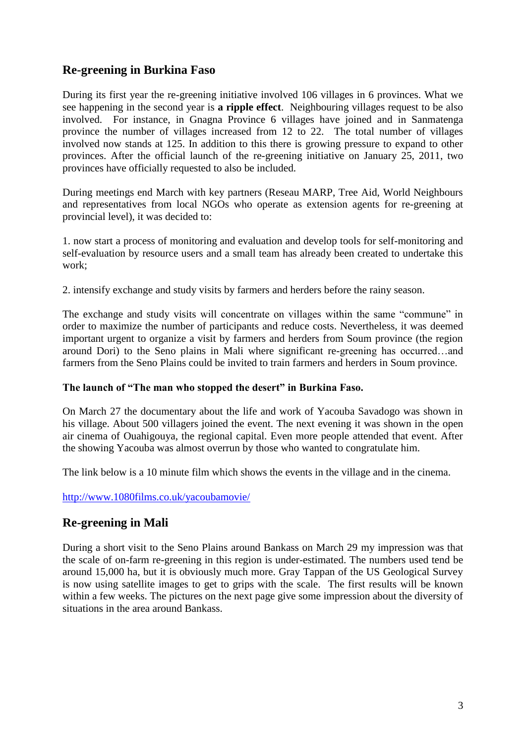## **Re-greening in Burkina Faso**

During its first year the re-greening initiative involved 106 villages in 6 provinces. What we see happening in the second year is **a ripple effect**. Neighbouring villages request to be also involved. For instance, in Gnagna Province 6 villages have joined and in Sanmatenga province the number of villages increased from 12 to 22. The total number of villages involved now stands at 125. In addition to this there is growing pressure to expand to other provinces. After the official launch of the re-greening initiative on January 25, 2011, two provinces have officially requested to also be included.

During meetings end March with key partners (Reseau MARP, Tree Aid, World Neighbours and representatives from local NGOs who operate as extension agents for re-greening at provincial level), it was decided to:

1. now start a process of monitoring and evaluation and develop tools for self-monitoring and self-evaluation by resource users and a small team has already been created to undertake this work;

2. intensify exchange and study visits by farmers and herders before the rainy season.

The exchange and study visits will concentrate on villages within the same "commune" in order to maximize the number of participants and reduce costs. Nevertheless, it was deemed important urgent to organize a visit by farmers and herders from Soum province (the region around Dori) to the Seno plains in Mali where significant re-greening has occurred…and farmers from the Seno Plains could be invited to train farmers and herders in Soum province.

### **The launch of "The man who stopped the desert" in Burkina Faso.**

On March 27 the documentary about the life and work of Yacouba Savadogo was shown in his village. About 500 villagers joined the event. The next evening it was shown in the open air cinema of Ouahigouya, the regional capital. Even more people attended that event. After the showing Yacouba was almost overrun by those who wanted to congratulate him.

The link below is a 10 minute film which shows the events in the village and in the cinema.

<http://www.1080films.co.uk/yacoubamovie/>

## **Re-greening in Mali**

During a short visit to the Seno Plains around Bankass on March 29 my impression was that the scale of on-farm re-greening in this region is under-estimated. The numbers used tend be around 15,000 ha, but it is obviously much more. Gray Tappan of the US Geological Survey is now using satellite images to get to grips with the scale. The first results will be known within a few weeks. The pictures on the next page give some impression about the diversity of situations in the area around Bankass.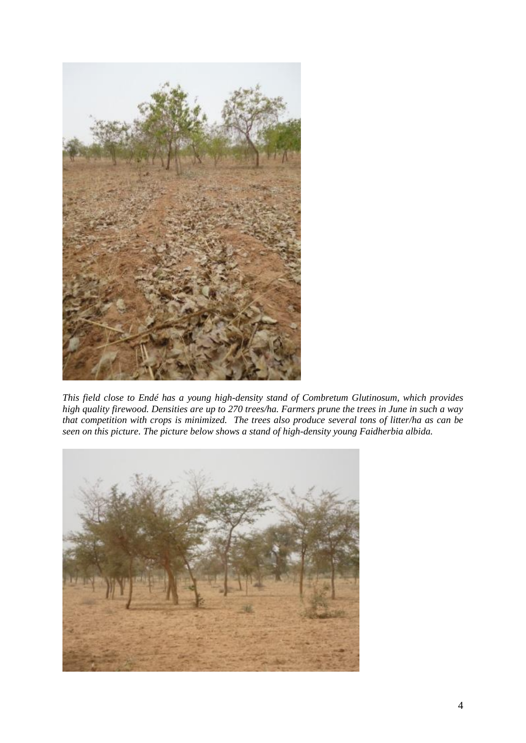

*This field close to Endé has a young high-density stand of Combretum Glutinosum, which provides high quality firewood. Densities are up to 270 trees/ha. Farmers prune the trees in June in such a way that competition with crops is minimized. The trees also produce several tons of litter/ha as can be seen on this picture. The picture below shows a stand of high-density young Faidherbia albida.* 

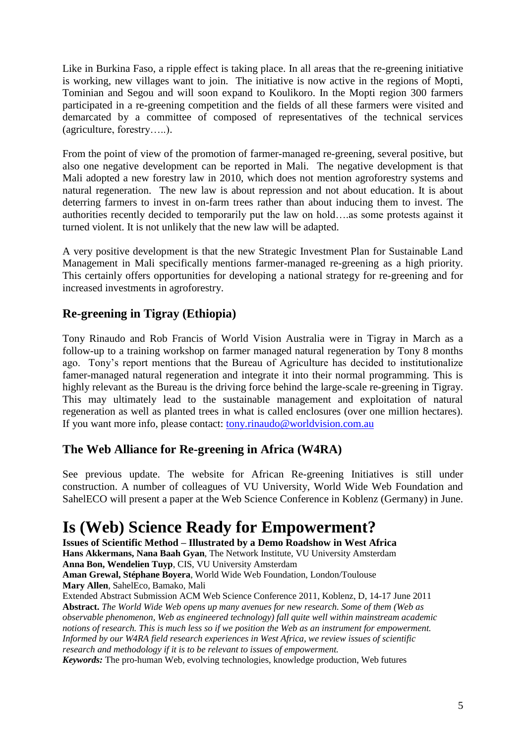Like in Burkina Faso, a ripple effect is taking place. In all areas that the re-greening initiative is working, new villages want to join. The initiative is now active in the regions of Mopti, Tominian and Segou and will soon expand to Koulikoro. In the Mopti region 300 farmers participated in a re-greening competition and the fields of all these farmers were visited and demarcated by a committee of composed of representatives of the technical services (agriculture, forestry…..).

From the point of view of the promotion of farmer-managed re-greening, several positive, but also one negative development can be reported in Mali. The negative development is that Mali adopted a new forestry law in 2010, which does not mention agroforestry systems and natural regeneration. The new law is about repression and not about education. It is about deterring farmers to invest in on-farm trees rather than about inducing them to invest. The authorities recently decided to temporarily put the law on hold….as some protests against it turned violent. It is not unlikely that the new law will be adapted.

A very positive development is that the new Strategic Investment Plan for Sustainable Land Management in Mali specifically mentions farmer-managed re-greening as a high priority. This certainly offers opportunities for developing a national strategy for re-greening and for increased investments in agroforestry.

## **Re-greening in Tigray (Ethiopia)**

Tony Rinaudo and Rob Francis of World Vision Australia were in Tigray in March as a follow-up to a training workshop on farmer managed natural regeneration by Tony 8 months ago. Tony's report mentions that the Bureau of Agriculture has decided to institutionalize famer-managed natural regeneration and integrate it into their normal programming. This is highly relevant as the Bureau is the driving force behind the large-scale re-greening in Tigray. This may ultimately lead to the sustainable management and exploitation of natural regeneration as well as planted trees in what is called enclosures (over one million hectares). If you want more info, please contact: [tony.rinaudo@worldvision.com.au](mailto:tony.rinaudo@worldvision.com.au)

## **The Web Alliance for Re-greening in Africa (W4RA)**

See previous update. The website for African Re-greening Initiatives is still under construction. A number of colleagues of VU University, World Wide Web Foundation and SahelECO will present a paper at the Web Science Conference in Koblenz (Germany) in June.

# **Is (Web) Science Ready for Empowerment?**

**Issues of Scientific Method – Illustrated by a Demo Roadshow in West Africa Hans Akkermans, Nana Baah Gyan**, The Network Institute, VU University Amsterdam **Anna Bon, Wendelien Tuyp**, CIS, VU University Amsterdam **Aman Grewal, Stéphane Boyera**, World Wide Web Foundation, London/Toulouse **Mary Allen**, SahelEco, Bamako, Mali

Extended Abstract Submission ACM Web Science Conference 2011, Koblenz, D, 14-17 June 2011 **Abstract.** *The World Wide Web opens up many avenues for new research. Some of them (Web as observable phenomenon, Web as engineered technology) fall quite well within mainstream academic notions of research. This is much less so if we position the Web as an instrument for empowerment. Informed by our W4RA field research experiences in West Africa, we review issues of scientific research and methodology if it is to be relevant to issues of empowerment.*

*Keywords:* The pro-human Web, evolving technologies, knowledge production, Web futures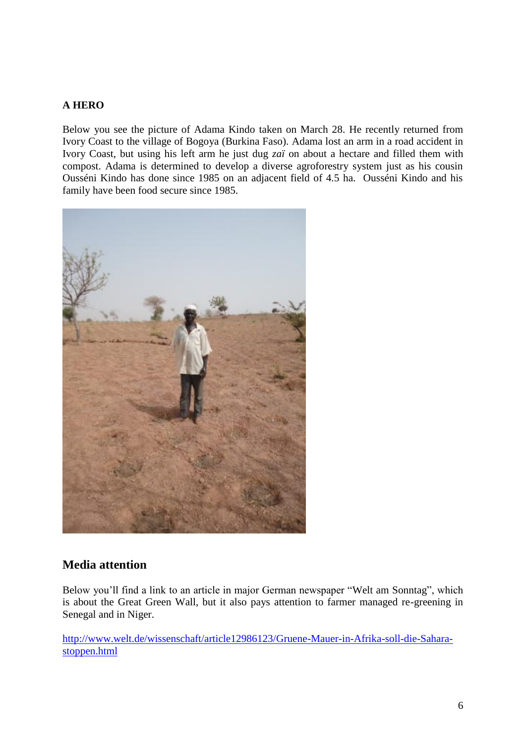### **A HERO**

Below you see the picture of Adama Kindo taken on March 28. He recently returned from Ivory Coast to the village of Bogoya (Burkina Faso). Adama lost an arm in a road accident in Ivory Coast, but using his left arm he just dug *zaï* on about a hectare and filled them with compost. Adama is determined to develop a diverse agroforestry system just as his cousin Ousséni Kindo has done since 1985 on an adjacent field of 4.5 ha. Ousséni Kindo and his family have been food secure since 1985.



### **Media attention**

Below you'll find a link to an article in major German newspaper "Welt am Sonntag", which is about the Great Green Wall, but it also pays attention to farmer managed re-greening in Senegal and in Niger.

[http://www.welt.de/wissenschaft/article12986123/Gruene-Mauer-in-Afrika-soll-die-Sahara](http://www.welt.de/wissenschaft/article12986123/Gruene-Mauer-in-Afrika-soll-die-Sahara-stoppen.html)[stoppen.html](http://www.welt.de/wissenschaft/article12986123/Gruene-Mauer-in-Afrika-soll-die-Sahara-stoppen.html)